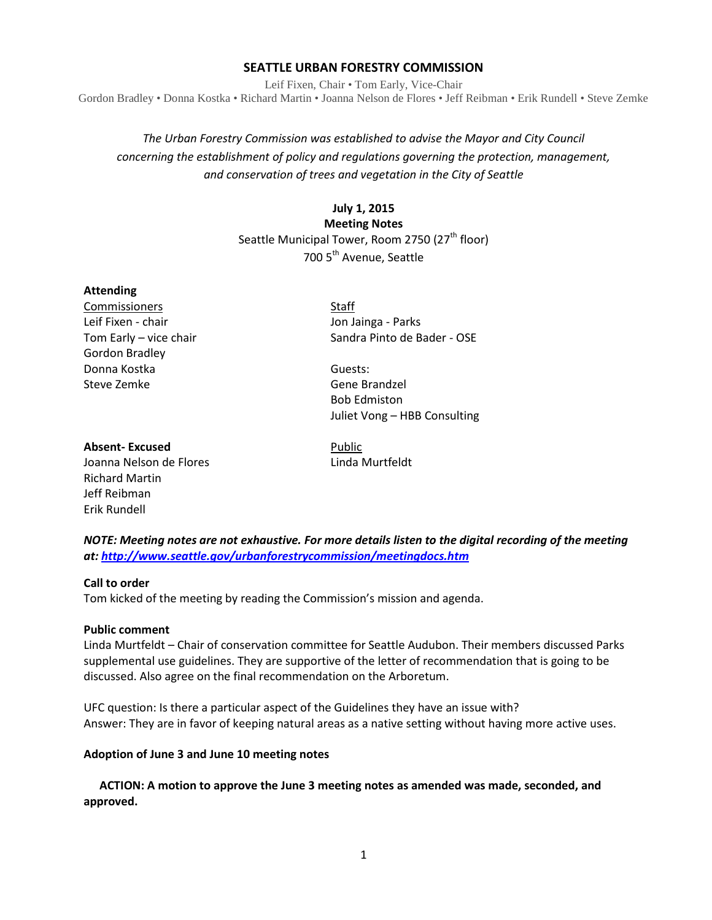### **SEATTLE URBAN FORESTRY COMMISSION**

Leif Fixen, Chair • Tom Early, Vice-Chair Gordon Bradley • Donna Kostka • Richard Martin • Joanna Nelson de Flores • Jeff Reibman • Erik Rundell • Steve Zemke

*The Urban Forestry Commission was established to advise the Mayor and City Council concerning the establishment of policy and regulations governing the protection, management, and conservation of trees and vegetation in the City of Seattle*

## **July 1, 2015**

**Meeting Notes** Seattle Municipal Tower, Room 2750 (27<sup>th</sup> floor) 700 5th Avenue, Seattle

#### **Attending**

Commissioners Staff Leif Fixen - chair **Jon Jainga - Parks** Gordon Bradley Donna Kostka Guests: Steve Zemke Gene Brandzel

Tom Early – vice chair Sandra Pinto de Bader - OSE

Bob Edmiston Juliet Vong – HBB Consulting

## **Absent-Excused** Public

Joanna Nelson de Flores **Linda Murtfeldt** Richard Martin Jeff Reibman Erik Rundell

*NOTE: Meeting notes are not exhaustive. For more details listen to the digital recording of the meeting at:<http://www.seattle.gov/urbanforestrycommission/meetingdocs.htm>*

#### **Call to order**

Tom kicked of the meeting by reading the Commission's mission and agenda.

#### **Public comment**

Linda Murtfeldt – Chair of conservation committee for Seattle Audubon. Their members discussed Parks supplemental use guidelines. They are supportive of the letter of recommendation that is going to be discussed. Also agree on the final recommendation on the Arboretum.

UFC question: Is there a particular aspect of the Guidelines they have an issue with? Answer: They are in favor of keeping natural areas as a native setting without having more active uses.

#### **Adoption of June 3 and June 10 meeting notes**

**ACTION: A motion to approve the June 3 meeting notes as amended was made, seconded, and approved.**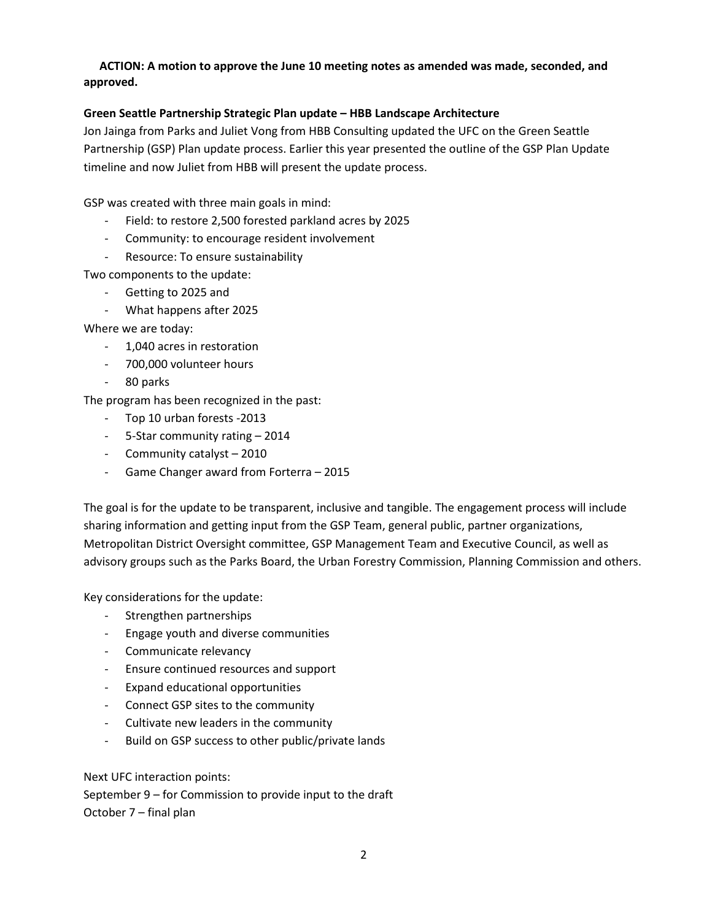# **ACTION: A motion to approve the June 10 meeting notes as amended was made, seconded, and approved.**

# **Green Seattle Partnership Strategic Plan update – HBB Landscape Architecture**

Jon Jainga from Parks and Juliet Vong from HBB Consulting updated the UFC on the Green Seattle Partnership (GSP) Plan update process. Earlier this year presented the outline of the GSP Plan Update timeline and now Juliet from HBB will present the update process.

GSP was created with three main goals in mind:

- Field: to restore 2,500 forested parkland acres by 2025
- Community: to encourage resident involvement
- Resource: To ensure sustainability

Two components to the update:

- Getting to 2025 and
- What happens after 2025

Where we are today:

- 1,040 acres in restoration
- 700,000 volunteer hours
- 80 parks

The program has been recognized in the past:

- Top 10 urban forests -2013
- 5-Star community rating 2014
- Community catalyst 2010
- Game Changer award from Forterra 2015

The goal is for the update to be transparent, inclusive and tangible. The engagement process will include sharing information and getting input from the GSP Team, general public, partner organizations, Metropolitan District Oversight committee, GSP Management Team and Executive Council, as well as advisory groups such as the Parks Board, the Urban Forestry Commission, Planning Commission and others.

Key considerations for the update:

- Strengthen partnerships
- Engage youth and diverse communities
- Communicate relevancy
- Ensure continued resources and support
- Expand educational opportunities
- Connect GSP sites to the community
- Cultivate new leaders in the community
- Build on GSP success to other public/private lands

Next UFC interaction points:

September 9 – for Commission to provide input to the draft October 7 – final plan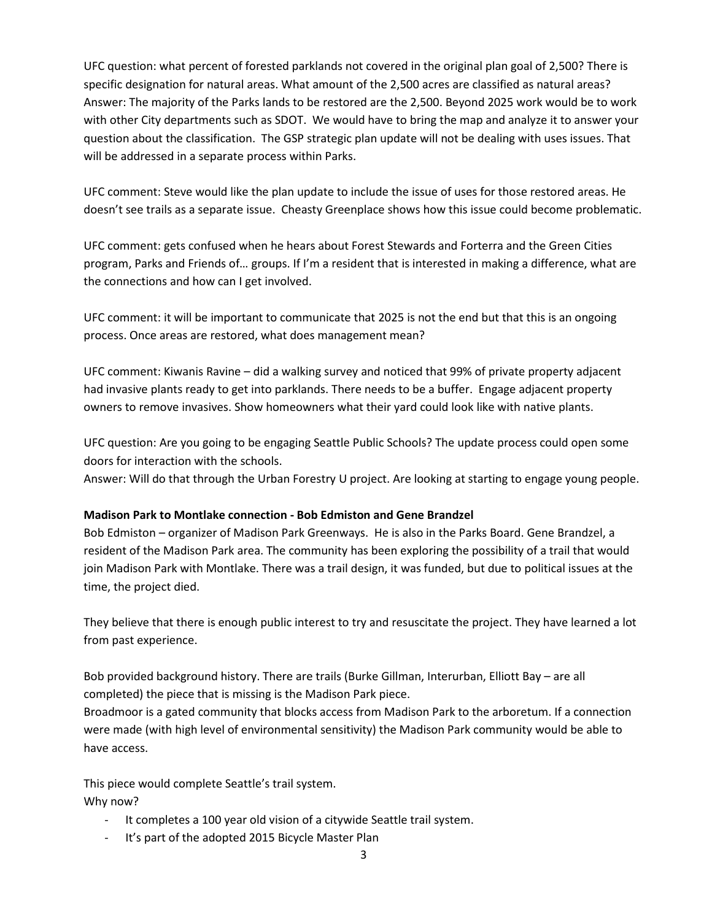UFC question: what percent of forested parklands not covered in the original plan goal of 2,500? There is specific designation for natural areas. What amount of the 2,500 acres are classified as natural areas? Answer: The majority of the Parks lands to be restored are the 2,500. Beyond 2025 work would be to work with other City departments such as SDOT. We would have to bring the map and analyze it to answer your question about the classification. The GSP strategic plan update will not be dealing with uses issues. That will be addressed in a separate process within Parks.

UFC comment: Steve would like the plan update to include the issue of uses for those restored areas. He doesn't see trails as a separate issue. Cheasty Greenplace shows how this issue could become problematic.

UFC comment: gets confused when he hears about Forest Stewards and Forterra and the Green Cities program, Parks and Friends of… groups. If I'm a resident that is interested in making a difference, what are the connections and how can I get involved.

UFC comment: it will be important to communicate that 2025 is not the end but that this is an ongoing process. Once areas are restored, what does management mean?

UFC comment: Kiwanis Ravine – did a walking survey and noticed that 99% of private property adjacent had invasive plants ready to get into parklands. There needs to be a buffer. Engage adjacent property owners to remove invasives. Show homeowners what their yard could look like with native plants.

UFC question: Are you going to be engaging Seattle Public Schools? The update process could open some doors for interaction with the schools.

Answer: Will do that through the Urban Forestry U project. Are looking at starting to engage young people.

### **Madison Park to Montlake connection - Bob Edmiston and Gene Brandzel**

Bob Edmiston – organizer of Madison Park Greenways. He is also in the Parks Board. Gene Brandzel, a resident of the Madison Park area. The community has been exploring the possibility of a trail that would join Madison Park with Montlake. There was a trail design, it was funded, but due to political issues at the time, the project died.

They believe that there is enough public interest to try and resuscitate the project. They have learned a lot from past experience.

Bob provided background history. There are trails (Burke Gillman, Interurban, Elliott Bay – are all completed) the piece that is missing is the Madison Park piece.

Broadmoor is a gated community that blocks access from Madison Park to the arboretum. If a connection were made (with high level of environmental sensitivity) the Madison Park community would be able to have access.

This piece would complete Seattle's trail system. Why now?

- It completes a 100 year old vision of a citywide Seattle trail system.
- It's part of the adopted 2015 Bicycle Master Plan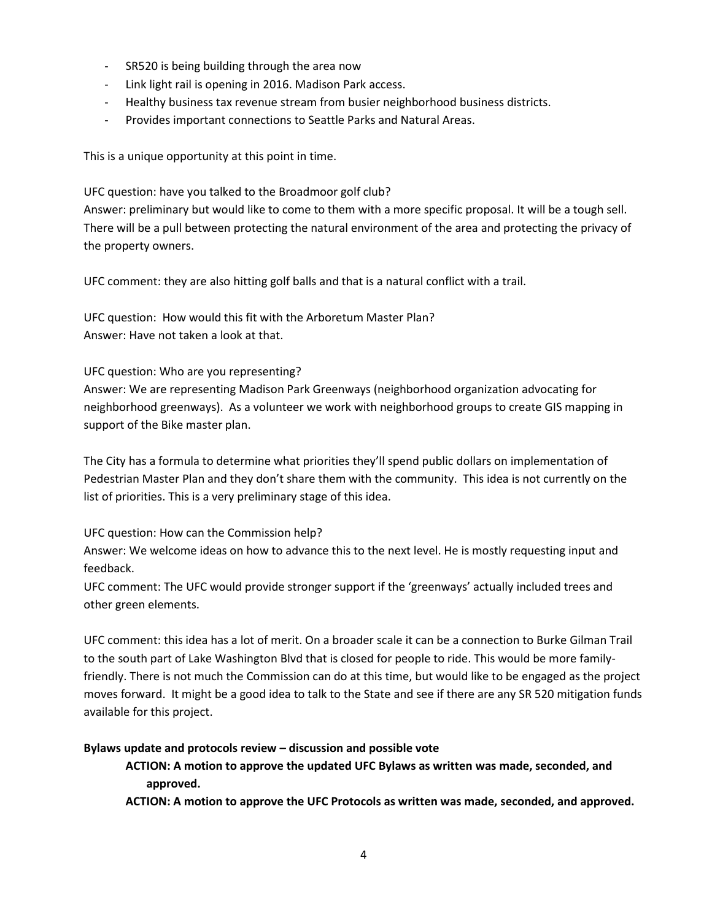- SR520 is being building through the area now
- Link light rail is opening in 2016. Madison Park access.
- Healthy business tax revenue stream from busier neighborhood business districts.
- Provides important connections to Seattle Parks and Natural Areas.

This is a unique opportunity at this point in time.

UFC question: have you talked to the Broadmoor golf club?

Answer: preliminary but would like to come to them with a more specific proposal. It will be a tough sell. There will be a pull between protecting the natural environment of the area and protecting the privacy of the property owners.

UFC comment: they are also hitting golf balls and that is a natural conflict with a trail.

UFC question: How would this fit with the Arboretum Master Plan? Answer: Have not taken a look at that.

## UFC question: Who are you representing?

Answer: We are representing Madison Park Greenways (neighborhood organization advocating for neighborhood greenways). As a volunteer we work with neighborhood groups to create GIS mapping in support of the Bike master plan.

The City has a formula to determine what priorities they'll spend public dollars on implementation of Pedestrian Master Plan and they don't share them with the community. This idea is not currently on the list of priorities. This is a very preliminary stage of this idea.

UFC question: How can the Commission help?

Answer: We welcome ideas on how to advance this to the next level. He is mostly requesting input and feedback.

UFC comment: The UFC would provide stronger support if the 'greenways' actually included trees and other green elements.

UFC comment: this idea has a lot of merit. On a broader scale it can be a connection to Burke Gilman Trail to the south part of Lake Washington Blvd that is closed for people to ride. This would be more familyfriendly. There is not much the Commission can do at this time, but would like to be engaged as the project moves forward. It might be a good idea to talk to the State and see if there are any SR 520 mitigation funds available for this project.

### **Bylaws update and protocols review – discussion and possible vote**

**ACTION: A motion to approve the updated UFC Bylaws as written was made, seconded, and approved.**

**ACTION: A motion to approve the UFC Protocols as written was made, seconded, and approved.**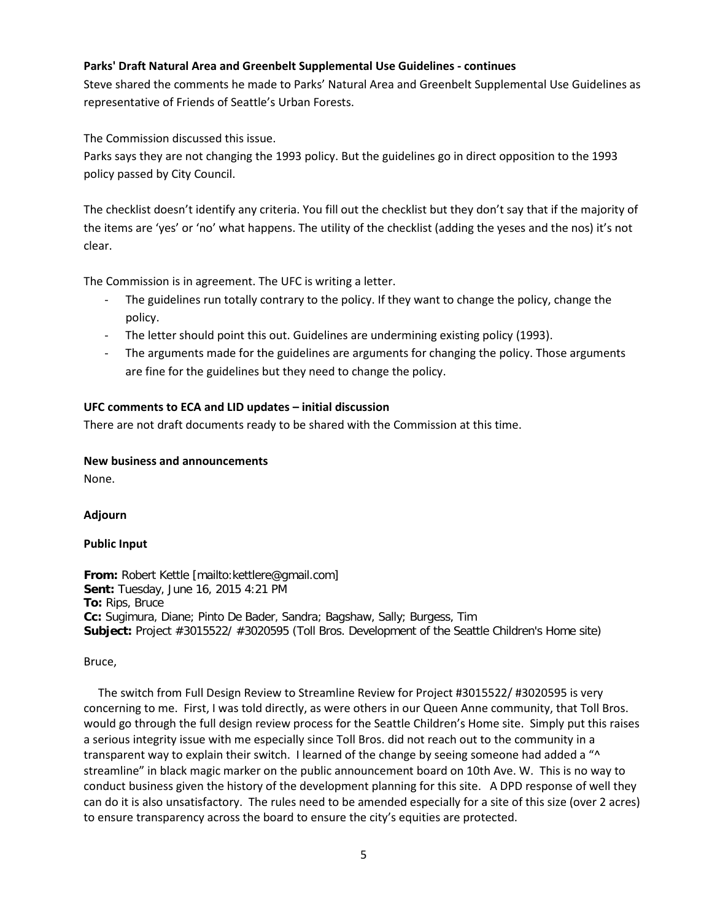### **Parks' Draft Natural Area and Greenbelt Supplemental Use Guidelines - continues**

Steve shared the comments he made to Parks' Natural Area and Greenbelt Supplemental Use Guidelines as representative of Friends of Seattle's Urban Forests.

The Commission discussed this issue.

Parks says they are not changing the 1993 policy. But the guidelines go in direct opposition to the 1993 policy passed by City Council.

The checklist doesn't identify any criteria. You fill out the checklist but they don't say that if the majority of the items are 'yes' or 'no' what happens. The utility of the checklist (adding the yeses and the nos) it's not clear.

The Commission is in agreement. The UFC is writing a letter.

- The guidelines run totally contrary to the policy. If they want to change the policy, change the policy.
- The letter should point this out. Guidelines are undermining existing policy (1993).
- The arguments made for the guidelines are arguments for changing the policy. Those arguments are fine for the guidelines but they need to change the policy.

## **UFC comments to ECA and LID updates – initial discussion**

There are not draft documents ready to be shared with the Commission at this time.

#### **New business and announcements**

None.

### **Adjourn**

### **Public Input**

**From:** Robert Kettle [mailto:kettlere@gmail.com] **Sent:** Tuesday, June 16, 2015 4:21 PM **To:** Rips, Bruce **Cc:** Sugimura, Diane; Pinto De Bader, Sandra; Bagshaw, Sally; Burgess, Tim **Subject:** Project #3015522/ #3020595 (Toll Bros. Development of the Seattle Children's Home site)

#### Bruce,

The switch from Full Design Review to Streamline Review for Project #3015522/ #3020595 is very concerning to me. First, I was told directly, as were others in our Queen Anne community, that Toll Bros. would go through the full design review process for the Seattle Children's Home site. Simply put this raises a serious integrity issue with me especially since Toll Bros. did not reach out to the community in a transparent way to explain their switch. I learned of the change by seeing someone had added a "^ streamline" in black magic marker on the public announcement board on 10th Ave. W. This is no way to conduct business given the history of the development planning for this site. A DPD response of well they can do it is also unsatisfactory. The rules need to be amended especially for a site of this size (over 2 acres) to ensure transparency across the board to ensure the city's equities are protected.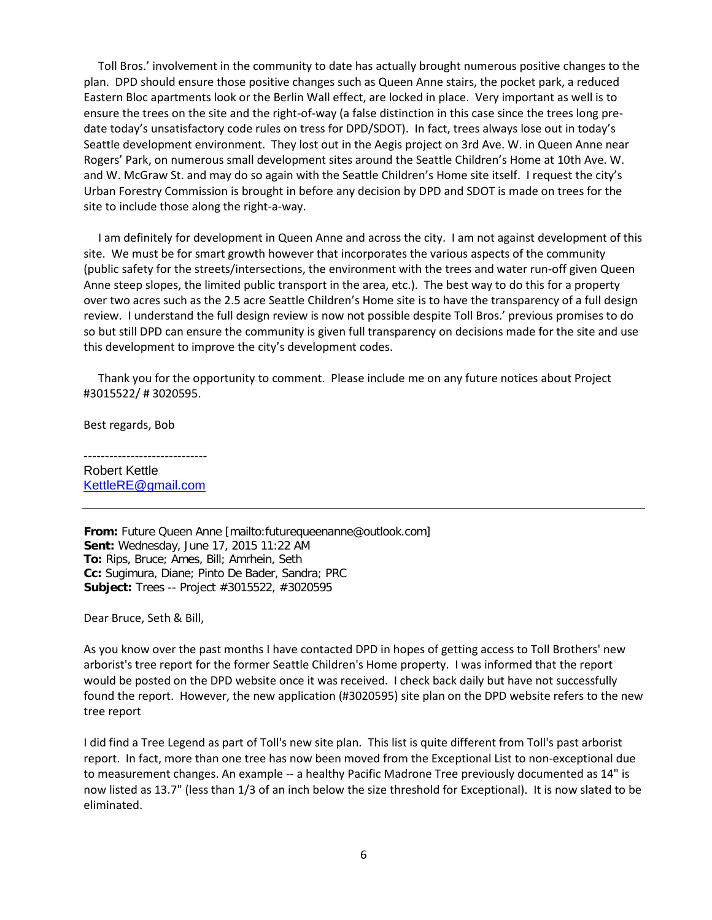Toll Bros.' involvement in the community to date has actually brought numerous positive changes to the plan. DPD should ensure those positive changes such as Queen Anne stairs, the pocket park, a reduced Eastern Bloc apartments look or the Berlin Wall effect, are locked in place. Very important as well is to ensure the trees on the site and the right-of-way (a false distinction in this case since the trees long predate today's unsatisfactory code rules on tress for DPD/SDOT). In fact, trees always lose out in today's Seattle development environment. They lost out in the Aegis project on 3rd Ave. W. in Queen Anne near Rogers' Park, on numerous small development sites around the Seattle Children's Home at 10th Ave. W. and W. McGraw St. and may do so again with the Seattle Children's Home site itself. I request the city's Urban Forestry Commission is brought in before any decision by DPD and SDOT is made on trees for the site to include those along the right-a-way.

I am definitely for development in Queen Anne and across the city. I am not against development of this site. We must be for smart growth however that incorporates the various aspects of the community (public safety for the streets/intersections, the environment with the trees and water run-off given Queen Anne steep slopes, the limited public transport in the area, etc.). The best way to do this for a property over two acres such as the 2.5 acre Seattle Children's Home site is to have the transparency of a full design review. I understand the full design review is now not possible despite Toll Bros.' previous promises to do so but still DPD can ensure the community is given full transparency on decisions made for the site and use this development to improve the city's development codes.

Thank you for the opportunity to comment. Please include me on any future notices about Project #3015522/ # 3020595.

Best regards, Bob

----------------------------- Robert Kettle [KettleRE@gmail.com](mailto:KettleRE@gmail.com)

**From:** Future Queen Anne [mailto:futurequeenanne@outlook.com] **Sent:** Wednesday, June 17, 2015 11:22 AM **To:** Rips, Bruce; Ames, Bill; Amrhein, Seth **Cc:** Sugimura, Diane; Pinto De Bader, Sandra; PRC **Subject:** Trees -- Project #3015522, #3020595

Dear Bruce, Seth & Bill,

As you know over the past months I have contacted DPD in hopes of getting access to Toll Brothers' new arborist's tree report for the former Seattle Children's Home property. I was informed that the report would be posted on the DPD website once it was received. I check back daily but have not successfully found the report. However, the new application (#3020595) site plan on the DPD website refers to the new tree report

I did find a Tree Legend as part of Toll's new site plan. This list is quite different from Toll's past arborist report. In fact, more than one tree has now been moved from the Exceptional List to non-exceptional due to measurement changes. An example -- a healthy Pacific Madrone Tree previously documented as 14" is now listed as 13.7" (less than 1/3 of an inch below the size threshold for Exceptional). It is now slated to be eliminated.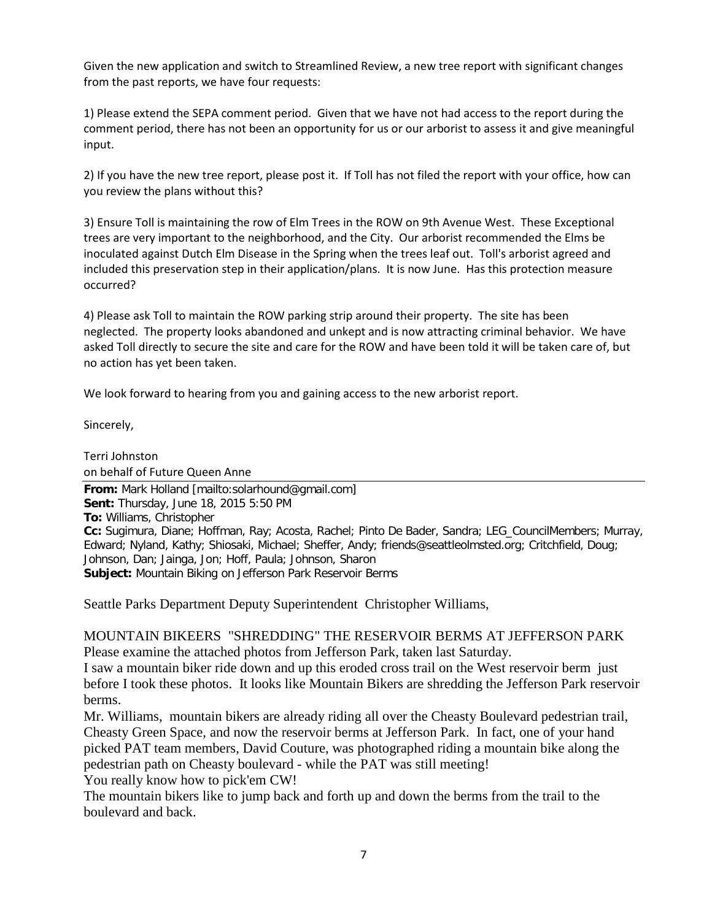Given the new application and switch to Streamlined Review, a new tree report with significant changes from the past reports, we have four requests:

1) Please extend the SEPA comment period. Given that we have not had access to the report during the comment period, there has not been an opportunity for us or our arborist to assess it and give meaningful input.

2) If you have the new tree report, please post it. If Toll has not filed the report with your office, how can you review the plans without this?

3) Ensure Toll is maintaining the row of Elm Trees in the ROW on 9th Avenue West. These Exceptional trees are very important to the neighborhood, and the City. Our arborist recommended the Elms be inoculated against Dutch Elm Disease in the Spring when the trees leaf out. Toll's arborist agreed and included this preservation step in their application/plans. It is now June. Has this protection measure occurred?

4) Please ask Toll to maintain the ROW parking strip around their property. The site has been neglected. The property looks abandoned and unkept and is now attracting criminal behavior. We have asked Toll directly to secure the site and care for the ROW and have been told it will be taken care of, but no action has yet been taken.

We look forward to hearing from you and gaining access to the new arborist report.

Sincerely,

Terri Johnston on behalf of Future Queen Anne **From:** Mark Holland [mailto:solarhound@gmail.com] **Sent:** Thursday, June 18, 2015 5:50 PM **To:** Williams, Christopher **Cc:** Sugimura, Diane; Hoffman, Ray; Acosta, Rachel; Pinto De Bader, Sandra; LEG\_CouncilMembers; Murray, Edward; Nyland, Kathy; Shiosaki, Michael; Sheffer, Andy; friends@seattleolmsted.org; Critchfield, Doug; Johnson, Dan; Jainga, Jon; Hoff, Paula; Johnson, Sharon **Subject:** Mountain Biking on Jefferson Park Reservoir Berms

Seattle Parks Department Deputy Superintendent Christopher Williams,

# MOUNTAIN BIKEERS "SHREDDING" THE RESERVOIR BERMS AT JEFFERSON PARK Please examine the attached photos from Jefferson Park, taken last Saturday.

I saw a mountain biker ride down and up this eroded cross trail on the West reservoir berm just before I took these photos. It looks like Mountain Bikers are shredding the Jefferson Park reservoir berms.

Mr. Williams, mountain bikers are already riding all over the Cheasty Boulevard pedestrian trail, Cheasty Green Space, and now the reservoir berms at Jefferson Park. In fact, one of your hand picked PAT team members, David Couture, was photographed riding a mountain bike along the pedestrian path on Cheasty boulevard - while the PAT was still meeting!

You really know how to pick'em CW!

The mountain bikers like to jump back and forth up and down the berms from the trail to the boulevard and back.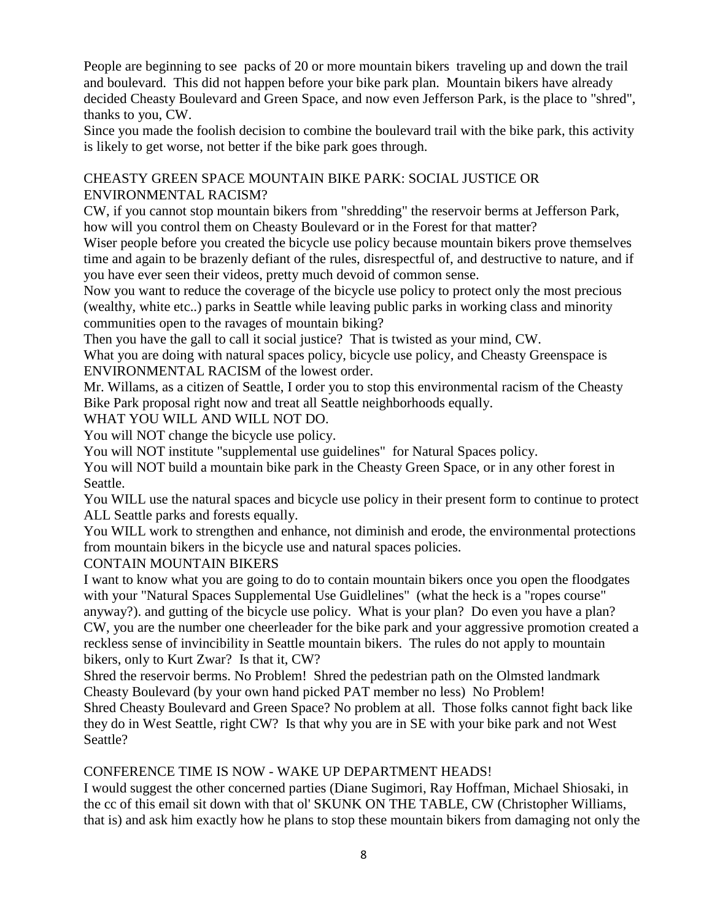People are beginning to see packs of 20 or more mountain bikers traveling up and down the trail and boulevard. This did not happen before your bike park plan. Mountain bikers have already decided Cheasty Boulevard and Green Space, and now even Jefferson Park, is the place to "shred", thanks to you, CW.

Since you made the foolish decision to combine the boulevard trail with the bike park, this activity is likely to get worse, not better if the bike park goes through.

# CHEASTY GREEN SPACE MOUNTAIN BIKE PARK: SOCIAL JUSTICE OR ENVIRONMENTAL RACISM?

CW, if you cannot stop mountain bikers from "shredding" the reservoir berms at Jefferson Park, how will you control them on Cheasty Boulevard or in the Forest for that matter?

Wiser people before you created the bicycle use policy because mountain bikers prove themselves time and again to be brazenly defiant of the rules, disrespectful of, and destructive to nature, and if you have ever seen their videos, pretty much devoid of common sense.

Now you want to reduce the coverage of the bicycle use policy to protect only the most precious (wealthy, white etc..) parks in Seattle while leaving public parks in working class and minority communities open to the ravages of mountain biking?

Then you have the gall to call it social justice? That is twisted as your mind, CW.

What you are doing with natural spaces policy, bicycle use policy, and Cheasty Greenspace is ENVIRONMENTAL RACISM of the lowest order.

Mr. Willams, as a citizen of Seattle, I order you to stop this environmental racism of the Cheasty Bike Park proposal right now and treat all Seattle neighborhoods equally.

# WHAT YOU WILL AND WILL NOT DO.

You will NOT change the bicycle use policy.

You will NOT institute "supplemental use guidelines" for Natural Spaces policy.

You will NOT build a mountain bike park in the Cheasty Green Space, or in any other forest in Seattle.

You WILL use the natural spaces and bicycle use policy in their present form to continue to protect ALL Seattle parks and forests equally.

You WILL work to strengthen and enhance, not diminish and erode, the environmental protections from mountain bikers in the bicycle use and natural spaces policies.

# CONTAIN MOUNTAIN BIKERS

I want to know what you are going to do to contain mountain bikers once you open the floodgates with your "Natural Spaces Supplemental Use Guidlelines" (what the heck is a "ropes course" anyway?). and gutting of the bicycle use policy. What is your plan? Do even you have a plan? CW, you are the number one cheerleader for the bike park and your aggressive promotion created a reckless sense of invincibility in Seattle mountain bikers. The rules do not apply to mountain bikers, only to Kurt Zwar? Is that it, CW?

Shred the reservoir berms. No Problem! Shred the pedestrian path on the Olmsted landmark Cheasty Boulevard (by your own hand picked PAT member no less) No Problem!

Shred Cheasty Boulevard and Green Space? No problem at all. Those folks cannot fight back like they do in West Seattle, right CW? Is that why you are in SE with your bike park and not West Seattle?

# CONFERENCE TIME IS NOW - WAKE UP DEPARTMENT HEADS!

I would suggest the other concerned parties (Diane Sugimori, Ray Hoffman, Michael Shiosaki, in the cc of this email sit down with that ol' SKUNK ON THE TABLE, CW (Christopher Williams, that is) and ask him exactly how he plans to stop these mountain bikers from damaging not only the